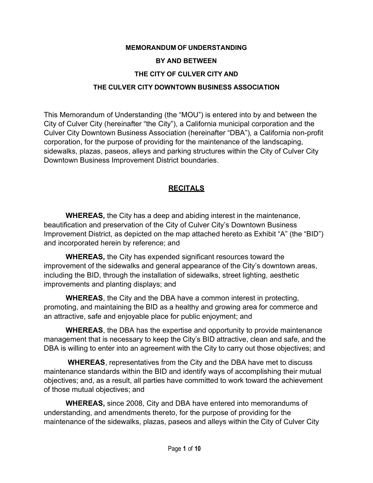# MEMORANDUM OF UNDERSTANDING BY AND BETWEEN THE CITY OF CULVER CITY AND THE CULVER CITY DOWNTOWN BUSINESS ASSOCIATION

This Memorandum of Understanding (the "MOU") is entered into by and between the City of Culver City (hereinafter "the City"), a California municipal corporation and the Culver City Downtown Business Association (hereinafter "DBA"), a California non-profit corporation, for the purpose of providing for the maintenance of the landscaping, sidewalks, plazas, paseos, alleys and parking structures within the City of Culver City Downtown Business Improvement District boundaries.

# **RECITALS**

WHEREAS, the City has a deep and abiding interest in the maintenance, beautification and preservation of the City of Culver City's Downtown Business Improvement District, as depicted on the map attached hereto as Exhibit "A" (the "BID") and incorporated herein by reference; and

WHEREAS, the City has expended significant resources toward the improvement of the sidewalks and general appearance of the City's downtown areas, including the BID, through the installation of sidewalks, street lighting, aesthetic improvements and planting displays; and

WHEREAS, the City and the DBA have a common interest in protecting, promoting, and maintaining the BID as a healthy and growing area for commerce and an attractive, safe and enjoyable place for public enjoyment; and

WHEREAS, the DBA has the expertise and opportunity to provide maintenance management that is necessary to keep the City's BID attractive, clean and safe, and the DBA is willing to enter into an agreement with the City to carry out those objectives; and

WHEREAS, representatives from the City and the DBA have met to discuss maintenance standards within the BID and identify ways of accomplishing their mutual objectives; and, as a result, all parties have committed to work toward the achievement of those mutual objectives; and

WHEREAS, since 2008, City and DBA have entered into memorandums of understanding, and amendments thereto, for the purpose of providing for the maintenance of the sidewalks, plazas, paseos and alleys within the City of Culver City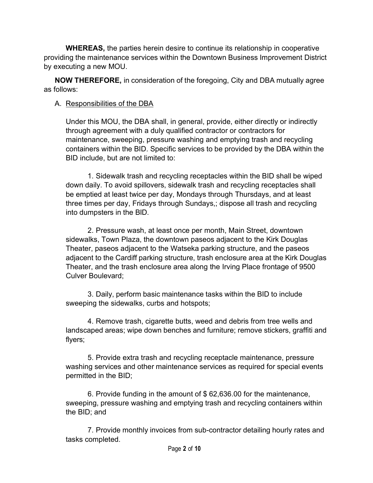WHEREAS, the parties herein desire to continue its relationship in cooperative providing the maintenance services within the Downtown Business Improvement District by executing a new MOU.

NOW THEREFORE, in consideration of the foregoing, City and DBA mutually agree as follows:

### A. Responsibilities of the DBA

Under this MOU, the DBA shall, in general, provide, either directly or indirectly through agreement with a duly qualified contractor or contractors for maintenance, sweeping, pressure washing and emptying trash and recycling containers within the BID. Specific services to be provided by the DBA within the BID include, but are not limited to:

1. Sidewalk trash and recycling receptacles within the BID shall be wiped down daily. To avoid spillovers, sidewalk trash and recycling receptacles shall be emptied at least twice per day, Mondays through Thursdays, and at least three times per day, Fridays through Sundays,; dispose all trash and recycling into dumpsters in the BID.

2. Pressure wash, at least once per month, Main Street, downtown sidewalks, Town Plaza, the downtown paseos adjacent to the Kirk Douglas Theater, paseos adjacent to the Watseka parking structure, and the paseos adjacent to the Cardiff parking structure, trash enclosure area at the Kirk Douglas Theater, and the trash enclosure area along the Irving Place frontage of 9500 Culver Boulevard;

3. Daily, perform basic maintenance tasks within the BID to include sweeping the sidewalks, curbs and hotspots;

4. Remove trash, cigarette butts, weed and debris from tree wells and landscaped areas; wipe down benches and furniture; remove stickers, graffiti and flyers;

5. Provide extra trash and recycling receptacle maintenance, pressure washing services and other maintenance services as required for special events permitted in the BID;

6. Provide funding in the amount of \$ 62,636.00 for the maintenance, sweeping, pressure washing and emptying trash and recycling containers within the BID; and

7. Provide monthly invoices from sub-contractor detailing hourly rates and tasks completed.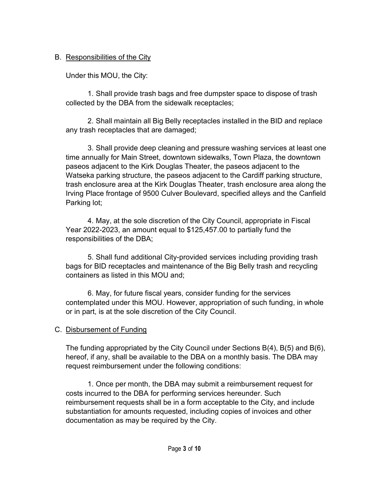### B. Responsibilities of the City

Under this MOU, the City:

1. Shall provide trash bags and free dumpster space to dispose of trash collected by the DBA from the sidewalk receptacles;

2. Shall maintain all Big Belly receptacles installed in the BID and replace any trash receptacles that are damaged;

3. Shall provide deep cleaning and pressure washing services at least one time annually for Main Street, downtown sidewalks, Town Plaza, the downtown paseos adjacent to the Kirk Douglas Theater, the paseos adjacent to the Watseka parking structure, the paseos adjacent to the Cardiff parking structure, trash enclosure area at the Kirk Douglas Theater, trash enclosure area along the Irving Place frontage of 9500 Culver Boulevard, specified alleys and the Canfield Parking lot;

4. May, at the sole discretion of the City Council, appropriate in Fiscal Year 2022-2023, an amount equal to \$125,457.00 to partially fund the responsibilities of the DBA;

5. Shall fund additional City-provided services including providing trash bags for BID receptacles and maintenance of the Big Belly trash and recycling containers as listed in this MOU and;

6. May, for future fiscal years, consider funding for the services contemplated under this MOU. However, appropriation of such funding, in whole or in part, is at the sole discretion of the City Council.

### C. Disbursement of Funding

The funding appropriated by the City Council under Sections B(4), B(5) and B(6), hereof, if any, shall be available to the DBA on a monthly basis. The DBA may request reimbursement under the following conditions:

1. Once per month, the DBA may submit a reimbursement request for costs incurred to the DBA for performing services hereunder. Such reimbursement requests shall be in a form acceptable to the City, and include substantiation for amounts requested, including copies of invoices and other documentation as may be required by the City.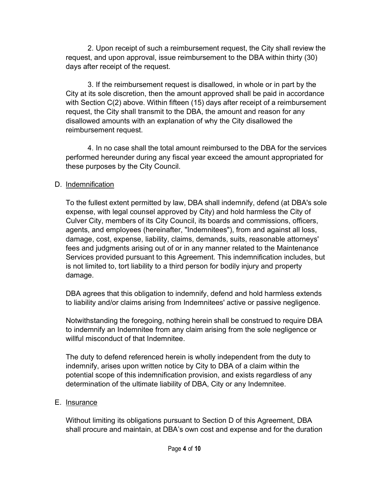2. Upon receipt of such a reimbursement request, the City shall review the request, and upon approval, issue reimbursement to the DBA within thirty (30) days after receipt of the request.

3. If the reimbursement request is disallowed, in whole or in part by the City at its sole discretion, then the amount approved shall be paid in accordance with Section C(2) above. Within fifteen (15) days after receipt of a reimbursement request, the City shall transmit to the DBA, the amount and reason for any disallowed amounts with an explanation of why the City disallowed the reimbursement request.

4. In no case shall the total amount reimbursed to the DBA for the services performed hereunder during any fiscal year exceed the amount appropriated for these purposes by the City Council.

### D. Indemnification

To the fullest extent permitted by law, DBA shall indemnify, defend (at DBA's sole expense, with legal counsel approved by City) and hold harmless the City of Culver City, members of its City Council, its boards and commissions, officers, agents, and employees (hereinafter, "Indemnitees"), from and against all loss, damage, cost, expense, liability, claims, demands, suits, reasonable attorneys' fees and judgments arising out of or in any manner related to the Maintenance Services provided pursuant to this Agreement. This indemnification includes, but is not limited to, tort liability to a third person for bodily injury and property damage.

DBA agrees that this obligation to indemnify, defend and hold harmless extends to liability and/or claims arising from Indemnitees' active or passive negligence.

Notwithstanding the foregoing, nothing herein shall be construed to require DBA to indemnify an Indemnitee from any claim arising from the sole negligence or willful misconduct of that Indemnitee.

The duty to defend referenced herein is wholly independent from the duty to indemnify, arises upon written notice by City to DBA of a claim within the potential scope of this indemnification provision, and exists regardless of any determination of the ultimate liability of DBA, City or any Indemnitee.

### E. Insurance

Without limiting its obligations pursuant to Section D of this Agreement, DBA shall procure and maintain, at DBA's own cost and expense and for the duration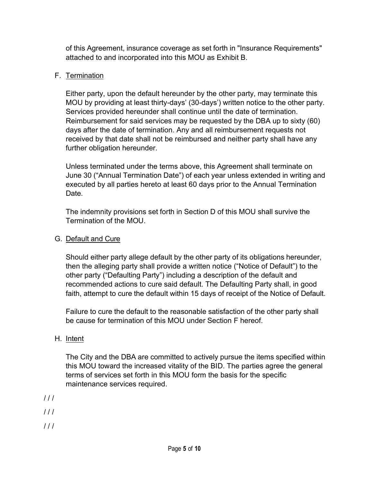of this Agreement, insurance coverage as set forth in "Insurance Requirements" attached to and incorporated into this MOU as Exhibit B.

# F. Termination

Either party, upon the default hereunder by the other party, may terminate this MOU by providing at least thirty-days' (30-days') written notice to the other party. Services provided hereunder shall continue until the date of termination. Reimbursement for said services may be requested by the DBA up to sixty (60) days after the date of termination. Any and all reimbursement requests not received by that date shall not be reimbursed and neither party shall have any further obligation hereunder.

Unless terminated under the terms above, this Agreement shall terminate on June 30 ("Annual Termination Date") of each year unless extended in writing and executed by all parties hereto at least 60 days prior to the Annual Termination Date.

The indemnity provisions set forth in Section D of this MOU shall survive the Termination of the MOU.

# G. Default and Cure

Should either party allege default by the other party of its obligations hereunder, then the alleging party shall provide a written notice ("Notice of Default") to the other party ("Defaulting Party") including a description of the default and recommended actions to cure said default. The Defaulting Party shall, in good faith, attempt to cure the default within 15 days of receipt of the Notice of Default.

Failure to cure the default to the reasonable satisfaction of the other party shall be cause for termination of this MOU under Section F hereof.

# H. Intent

The City and the DBA are committed to actively pursue the items specified within this MOU toward the increased vitality of the BID. The parties agree the general terms of services set forth in this MOU form the basis for the specific maintenance services required.

- $111$
- $111$
- $111$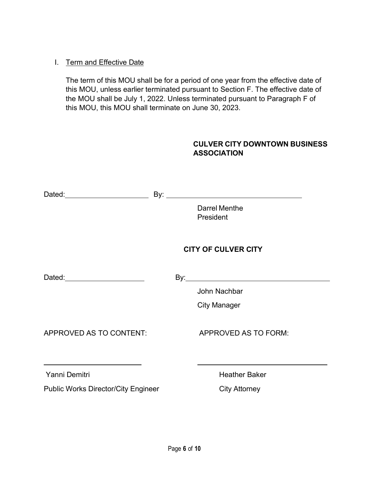### I. Term and Effective Date

The term of this MOU shall be for a period of one year from the effective date of this MOU, unless earlier terminated pursuant to Section F. The effective date of the MOU shall be July 1, 2022. Unless terminated pursuant to Paragraph F of this MOU, this MOU shall terminate on June 30, 2023.

### CULVER CITY DOWNTOWN BUSINESS ASSOCIATION

| Dated: _______________________             |                                   |
|--------------------------------------------|-----------------------------------|
|                                            | Darrel Menthe<br><b>President</b> |
|                                            | <b>CITY OF CULVER CITY</b>        |
|                                            |                                   |
|                                            | John Nachbar                      |
|                                            | <b>City Manager</b>               |
| APPROVED AS TO CONTENT:                    | APPROVED AS TO FORM:              |
| Yanni Demitri                              | <b>Heather Baker</b>              |
| <b>Public Works Director/City Engineer</b> | <b>City Attorney</b>              |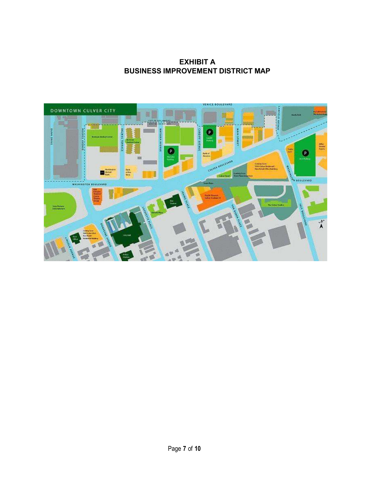EXHIBIT A BUSINESS IMPROVEMENT DISTRICT MAP

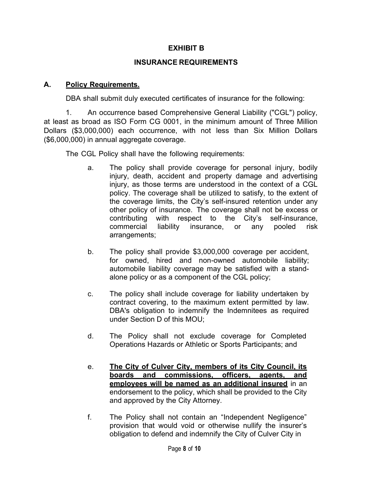### EXHIBIT B

#### INSURANCE REQUIREMENTS

#### A. Policy Requirements.

DBA shall submit duly executed certificates of insurance for the following:

1. An occurrence based Comprehensive General Liability ("CGL") policy, at least as broad as ISO Form CG 0001, in the minimum amount of Three Million Dollars (\$3,000,000) each occurrence, with not less than Six Million Dollars (\$6,000,000) in annual aggregate coverage.

The CGL Policy shall have the following requirements:

- a. The policy shall provide coverage for personal injury, bodily injury, death, accident and property damage and advertising injury, as those terms are understood in the context of a CGL policy. The coverage shall be utilized to satisfy, to the extent of the coverage limits, the City's self-insured retention under any other policy of insurance. The coverage shall not be excess or contributing with respect to the City's self-insurance, commercial liability insurance, or any pooled risk arrangements;
- b. The policy shall provide \$3,000,000 coverage per accident, for owned, hired and non-owned automobile liability; automobile liability coverage may be satisfied with a standalone policy or as a component of the CGL policy;
- c. The policy shall include coverage for liability undertaken by contract covering, to the maximum extent permitted by law. DBA's obligation to indemnify the Indemnitees as required under Section D of this MOU;
- d. The Policy shall not exclude coverage for Completed Operations Hazards or Athletic or Sports Participants; and
- e. The City of Culver City, members of its City Council, its boards and commissions, officers, agents, and employees will be named as an additional insured in an endorsement to the policy, which shall be provided to the City and approved by the City Attorney.
- f. The Policy shall not contain an "Independent Negligence" provision that would void or otherwise nullify the insurer's obligation to defend and indemnify the City of Culver City in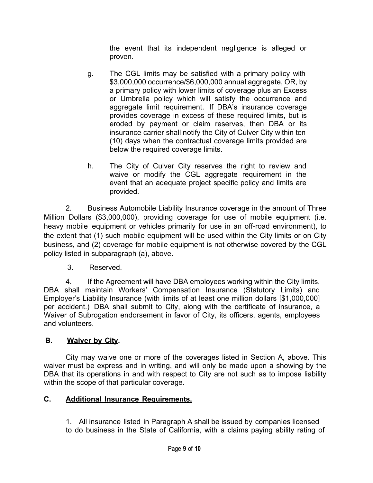the event that its independent negligence is alleged or proven.

- g. The CGL limits may be satisfied with a primary policy with \$3,000,000 occurrence/\$6,000,000 annual aggregate, OR, by a primary policy with lower limits of coverage plus an Excess or Umbrella policy which will satisfy the occurrence and aggregate limit requirement. If DBA's insurance coverage provides coverage in excess of these required limits, but is eroded by payment or claim reserves, then DBA or its insurance carrier shall notify the City of Culver City within ten (10) days when the contractual coverage limits provided are below the required coverage limits.
- h. The City of Culver City reserves the right to review and waive or modify the CGL aggregate requirement in the event that an adequate project specific policy and limits are provided.

2. Business Automobile Liability Insurance coverage in the amount of Three Million Dollars (\$3,000,000), providing coverage for use of mobile equipment (i.e. heavy mobile equipment or vehicles primarily for use in an off-road environment), to the extent that (1) such mobile equipment will be used within the City limits or on City business, and (2) coverage for mobile equipment is not otherwise covered by the CGL policy listed in subparagraph (a), above.

3. Reserved.

4. If the Agreement will have DBA employees working within the City limits, DBA shall maintain Workers' Compensation Insurance (Statutory Limits) and Employer's Liability Insurance (with limits of at least one million dollars [\$1,000,000] per accident.) DBA shall submit to City, along with the certificate of insurance, a Waiver of Subrogation endorsement in favor of City, its officers, agents, employees and volunteers.

# B. Waiver by City.

City may waive one or more of the coverages listed in Section A, above. This waiver must be express and in writing, and will only be made upon a showing by the DBA that its operations in and with respect to City are not such as to impose liability within the scope of that particular coverage.

### C. Additional Insurance Requirements.

1. All insurance listed in Paragraph A shall be issued by companies licensed to do business in the State of California, with a claims paying ability rating of